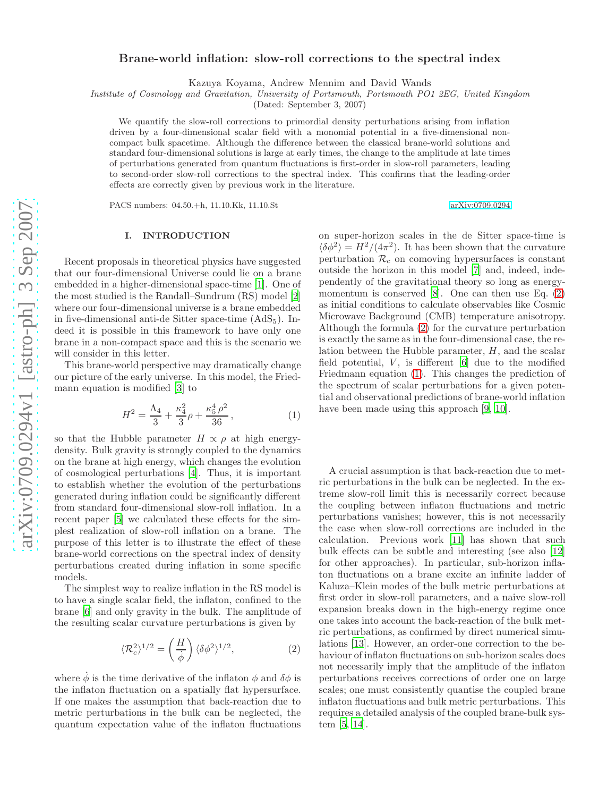# Brane-world inflation: slow-roll corrections to the spectral index

Kazuya Koyama, Andrew Mennim and David Wands

Institute of Cosmology and Gravitation, University of Portsmouth, Portsmouth PO1 2EG, United Kingdom

(Dated: September 3, 2007)

We quantify the slow-roll corrections to primordial density perturbations arising from inflation driven by a four-dimensional scalar field with a monomial potential in a five-dimensional noncompact bulk spacetime. Although the difference between the classical brane-world solutions and standard four-dimensional solutions is large at early times, the change to the amplitude at late times of perturbations generated from quantum fluctuations is first-order in slow-roll parameters, leading to second-order slow-roll corrections to the spectral index. This confirms that the leading-order effects are correctly given by previous work in the literature.

PACS numbers: 04.50.+h, 11.10.Kk, 11.10.St [arXiv:0709.0294](http://arXiv.org/abs/0709.0294)

## I. INTRODUCTION

Recent proposals in theoretical physics have suggested that our four-dimensional Universe could lie on a brane embedded in a higher-dimensional space-time [\[1\]](#page-4-0). One of the most studied is the Randall–Sundrum (RS) model [\[2](#page-4-1)] where our four-dimensional universe is a brane embedded in five-dimensional anti-de Sitter space-time  $(AdS<sub>5</sub>)$ . Indeed it is possible in this framework to have only one brane in a non-compact space and this is the scenario we will consider in this letter.

This brane-world perspective may dramatically change our picture of the early universe. In this model, the Friedmann equation is modified [\[3\]](#page-4-2) to

<span id="page-0-1"></span>
$$
H^{2} = \frac{\Lambda_{4}}{3} + \frac{\kappa_{4}^{2}}{3}\rho + \frac{\kappa_{5}^{4}\rho^{2}}{36},
$$
 (1)

so that the Hubble parameter  $H \propto \rho$  at high energydensity. Bulk gravity is strongly coupled to the dynamics on the brane at high energy, which changes the evolution of cosmological perturbations [\[4\]](#page-4-3). Thus, it is important to establish whether the evolution of the perturbations generated during inflation could be significantly different from standard four-dimensional slow-roll inflation. In a recent paper [\[5\]](#page-4-4) we calculated these effects for the simplest realization of slow-roll inflation on a brane. The purpose of this letter is to illustrate the effect of these brane-world corrections on the spectral index of density perturbations created during inflation in some specific models.

The simplest way to realize inflation in the RS model is to have a single scalar field, the inflaton, confined to the brane [\[6](#page-4-5)] and only gravity in the bulk. The amplitude of the resulting scalar curvature perturbations is given by

<span id="page-0-0"></span>
$$
\langle \mathcal{R}_c^2 \rangle^{1/2} = \left(\frac{H}{\dot{\phi}}\right) \langle \delta \phi^2 \rangle^{1/2},\tag{2}
$$

where  $\dot{\phi}$  is the time derivative of the inflaton  $\phi$  and  $\delta\phi$  is the inflaton fluctuation on a spatially flat hypersurface. If one makes the assumption that back-reaction due to metric perturbations in the bulk can be neglected, the quantum expectation value of the inflaton fluctuations

on super-horizon scales in the de Sitter space-time is  $\langle \delta \phi^2 \rangle = H^2/(4\pi^2)$ . It has been shown that the curvature perturbation  $\mathcal{R}_c$  on comoving hypersurfaces is constant outside the horizon in this model [\[7\]](#page-4-6) and, indeed, independently of the gravitational theory so long as energymomentum is conserved  $[8]$ . One can then use Eq.  $(2)$ as initial conditions to calculate observables like Cosmic Microwave Background (CMB) temperature anisotropy. Although the formula [\(2\)](#page-0-0) for the curvature perturbation is exactly the same as in the four-dimensional case, the relation between the Hubble parameter,  $H$ , and the scalar field potential,  $V$ , is different  $[6]$  due to the modified Friedmann equation [\(1\)](#page-0-1). This changes the prediction of the spectrum of scalar perturbations for a given potential and observational predictions of brane-world inflation have been made using this approach [\[9](#page-4-8), [10](#page-4-9)].

A crucial assumption is that back-reaction due to metric perturbations in the bulk can be neglected. In the extreme slow-roll limit this is necessarily correct because the coupling between inflaton fluctuations and metric perturbations vanishes; however, this is not necessarily the case when slow-roll corrections are included in the calculation. Previous work [\[11](#page-4-10)] has shown that such bulk effects can be subtle and interesting (see also [\[12](#page-5-0)] for other approaches). In particular, sub-horizon inflaton fluctuations on a brane excite an infinite ladder of Kaluza–Klein modes of the bulk metric perturbations at first order in slow-roll parameters, and a naive slow-roll expansion breaks down in the high-energy regime once one takes into account the back-reaction of the bulk metric perturbations, as confirmed by direct numerical simulations [\[13\]](#page-5-1). However, an order-one correction to the behaviour of inflaton fluctuations on sub-horizon scales does not necessarily imply that the amplitude of the inflaton perturbations receives corrections of order one on large scales; one must consistently quantise the coupled brane inflaton fluctuations and bulk metric perturbations. This requires a detailed analysis of the coupled brane-bulk system [\[5,](#page-4-4) [14\]](#page-5-2).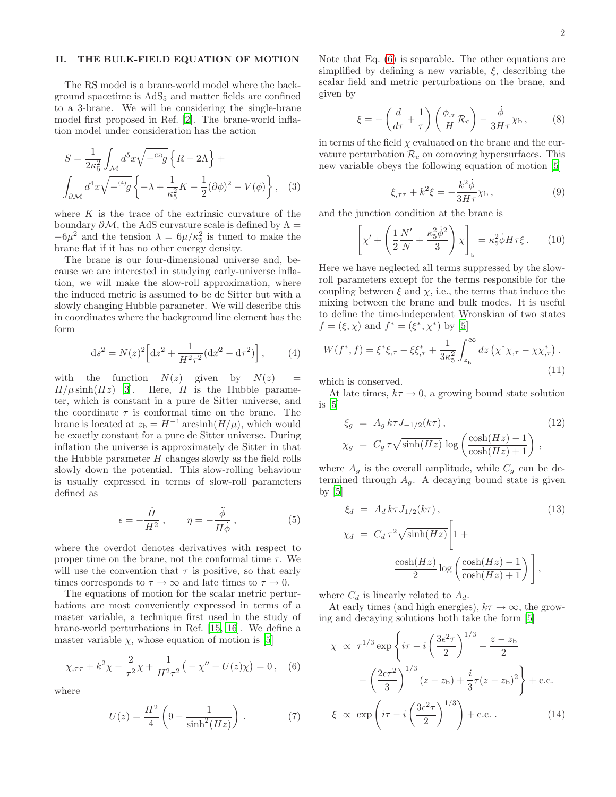## II. THE BULK-FIELD EQUATION OF MOTION

The RS model is a brane-world model where the background spacetime is  $AdS_5$  and matter fields are confined to a 3-brane. We will be considering the single-brane model first proposed in Ref. [\[2](#page-4-1)]. The brane-world inflation model under consideration has the action

$$
S = \frac{1}{2\kappa_5^2} \int_{\mathcal{M}} d^5 x \sqrt{-\frac{5}{g}} \left\{ R - 2\Lambda \right\} +
$$
  

$$
\int_{\partial \mathcal{M}} d^4 x \sqrt{-\frac{4}{g}} \left\{ -\lambda + \frac{1}{\kappa_5^2} K - \frac{1}{2} (\partial \phi)^2 - V(\phi) \right\}, \quad (3)
$$

where  $K$  is the trace of the extrinsic curvature of the boundary  $\partial \mathcal{M}$ , the AdS curvature scale is defined by  $\Lambda =$  $-6\mu^2$  and the tension  $\lambda = 6\mu/\kappa_5^2$  is tuned to make the brane flat if it has no other energy density.

The brane is our four-dimensional universe and, because we are interested in studying early-universe inflation, we will make the slow-roll approximation, where the induced metric is assumed to be de Sitter but with a slowly changing Hubble parameter. We will describe this in coordinates where the background line element has the form

$$
ds^{2} = N(z)^{2} \left[ dz^{2} + \frac{1}{H^{2} \tau^{2}} (d\vec{x}^{2} - d\tau^{2}) \right],
$$
 (4)

with the function  $N(z)$  given by  $N(z)$  =  $H/\mu \sinh(Hz)$  [\[3\]](#page-4-2). Here, H is the Hubble parameter, which is constant in a pure de Sitter universe, and the coordinate  $\tau$  is conformal time on the brane. The brane is located at  $z<sub>b</sub> = H<sup>-1</sup> arcsinh(H/\mu)$ , which would be exactly constant for a pure de Sitter universe. During inflation the universe is approximately de Sitter in that the Hubble parameter  $H$  changes slowly as the field rolls slowly down the potential. This slow-rolling behaviour is usually expressed in terms of slow-roll parameters defined as

<span id="page-1-3"></span>
$$
\epsilon = -\frac{\dot{H}}{H^2} , \qquad \eta = -\frac{\ddot{\phi}}{H\dot{\phi}} , \qquad (5)
$$

where the overdot denotes derivatives with respect to proper time on the brane, not the conformal time  $\tau$ . We will use the convention that  $\tau$  is positive, so that early times corresponds to  $\tau \to \infty$  and late times to  $\tau \to 0$ .

The equations of motion for the scalar metric perturbations are most conveniently expressed in terms of a master variable, a technique first used in the study of brane-world perturbations in Ref. [\[15,](#page-5-3) [16\]](#page-5-4). We define a master variable  $\chi$ , whose equation of motion is [\[5](#page-4-4)]

<span id="page-1-0"></span>
$$
\chi_{,\tau\tau} + k^2 \chi - \frac{2}{\tau^2} \chi + \frac{1}{H^2 \tau^2} \left( -\chi'' + U(z)\chi \right) = 0 \,, \quad (6)
$$

where

$$
U(z) = \frac{H^2}{4} \left( 9 - \frac{1}{\sinh^2(Hz)} \right).
$$
 (7)

Note that Eq. [\(6\)](#page-1-0) is separable. The other equations are simplified by defining a new variable,  $\xi$ , describing the scalar field and metric perturbations on the brane, and given by

$$
\xi = -\left(\frac{d}{d\tau} + \frac{1}{\tau}\right) \left(\frac{\phi_{,\tau}}{H} \mathcal{R}_c\right) - \frac{\dot{\phi}}{3H\tau} \chi_{\text{b}} ,\qquad (8)
$$

in terms of the field  $\chi$  evaluated on the brane and the curvature perturbation  $\mathcal{R}_c$  on comoving hypersurfaces. This new variable obeys the following equation of motion [\[5](#page-4-4)]

$$
\xi_{,\tau\tau} + k^2 \xi = -\frac{k^2 \dot{\phi}}{3H\tau} \chi_{\rm b} , \qquad (9)
$$

and the junction condition at the brane is

$$
\left[\chi' + \left(\frac{1}{2}\frac{N'}{N} + \frac{\kappa_5^2 \dot{\phi}^2}{3}\right)\chi\right]_b = \kappa_5^2 \dot{\phi} H \tau \xi. \tag{10}
$$

Here we have neglected all terms suppressed by the slowroll parameters except for the terms responsible for the coupling between  $\xi$  and  $\chi$ , i.e., the terms that induce the mixing between the brane and bulk modes. It is useful to define the time-independent Wronskian of two states  $f = (\xi, \chi)$  and  $f^* = (\xi^*, \chi^*)$  by [\[5](#page-4-4)]

<span id="page-1-2"></span>
$$
W(f^*, f) = \xi^* \xi_{,\tau} - \xi \xi_{,\tau}^* + \frac{1}{3\kappa_5^2} \int_{z_{\rm b}}^{\infty} dz \left( \chi^* \chi_{,\tau} - \chi \chi_{,\tau}^* \right). \tag{11}
$$

which is conserved.

At late times,  $k\tau \to 0$ , a growing bound state solution is [\[5\]](#page-4-4)

$$
\xi_g = A_g k \tau J_{-1/2}(k\tau),
$$
\n
$$
\chi_g = C_g \tau \sqrt{\sinh(Hz)} \log \left( \frac{\cosh(Hz) - 1}{\cosh(Hz) + 1} \right),
$$
\n(12)

where  $A_g$  is the overall amplitude, while  $C_g$  can be determined through  $A<sub>g</sub>$ . A decaying bound state is given by  $[5]$ 

$$
\xi_d = A_d k \tau J_{1/2}(k\tau), \qquad (13)
$$

$$
\chi_d = C_d \tau^2 \sqrt{\sinh(Hz)} \left[ 1 + \frac{\cosh(Hz)}{2} \log \left( \frac{\cosh(Hz) - 1}{\cosh(Hz) + 1} \right) \right],
$$

where  $C_d$  is linearly related to  $A_d$ .

At early times (and high energies),  $k\tau \to \infty$ , the growing and decaying solutions both take the form [\[5](#page-4-4)]

<span id="page-1-1"></span>
$$
\chi \propto \tau^{1/3} \exp\left\{ i\tau - i \left( \frac{3\epsilon^2 \tau}{2} \right)^{1/3} - \frac{z - z_b}{2} - \left( \frac{2\epsilon \tau^2}{3} \right)^{1/3} (z - z_b) + \frac{i}{3} \tau (z - z_b)^2 \right\} + \text{c.c.}
$$

$$
\xi \propto \exp\left( i\tau - i \left( \frac{3\epsilon^2 \tau}{2} \right)^{1/3} \right) + \text{c.c.} \qquad (14)
$$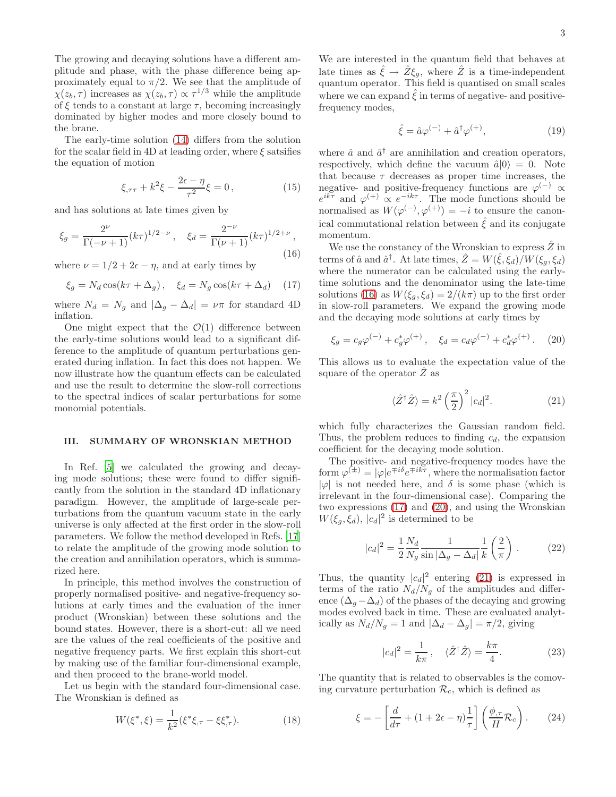The growing and decaying solutions have a different amplitude and phase, with the phase difference being approximately equal to  $\pi/2$ . We see that the amplitude of  $\chi(z_b, \tau)$  increases as  $\chi(z_b, \tau) \propto \tau^{1/3}$  while the amplitude of  $\xi$  tends to a constant at large  $\tau$ , becoming increasingly dominated by higher modes and more closely bound to the brane.

The early-time solution [\(14\)](#page-1-1) differs from the solution for the scalar field in 4D at leading order, where  $\xi$  satsifies the equation of motion

$$
\xi_{,\tau\tau} + k^2 \xi - \frac{2\epsilon - \eta}{\tau^2} \xi = 0, \qquad (15)
$$

and has solutions at late times given by

<span id="page-2-0"></span>
$$
\xi_g = \frac{2^{\nu}}{\Gamma(-\nu+1)} (k\tau)^{1/2-\nu}, \quad \xi_d = \frac{2^{-\nu}}{\Gamma(\nu+1)} (k\tau)^{1/2+\nu},
$$
\n(16)

where  $\nu = 1/2 + 2\epsilon - \eta$ , and at early times by

<span id="page-2-1"></span>
$$
\xi_g = N_d \cos(k\tau + \Delta_g), \quad \xi_d = N_g \cos(k\tau + \Delta_d) \quad (17)
$$

where  $N_d = N_g$  and  $|\Delta_g - \Delta_d| = \nu \pi$  for standard 4D inflation.

One might expect that the  $\mathcal{O}(1)$  difference between the early-time solutions would lead to a significant difference to the amplitude of quantum perturbations generated during inflation. In fact this does not happen. We now illustrate how the quantum effects can be calculated and use the result to determine the slow-roll corrections to the spectral indices of scalar perturbations for some monomial potentials.

# III. SUMMARY OF WRONSKIAN METHOD

In Ref. [\[5](#page-4-4)] we calculated the growing and decaying mode solutions; these were found to differ significantly from the solution in the standard 4D inflationary paradigm. However, the amplitude of large-scale perturbations from the quantum vacuum state in the early universe is only affected at the first order in the slow-roll parameters. We follow the method developed in Refs. [\[17](#page-5-5)] to relate the amplitude of the growing mode solution to the creation and annihilation operators, which is summarized here.

In principle, this method involves the construction of properly normalised positive- and negative-frequency solutions at early times and the evaluation of the inner product (Wronskian) between these solutions and the bound states. However, there is a short-cut: all we need are the values of the real coefficients of the positive and negative frequency parts. We first explain this short-cut by making use of the familiar four-dimensional example, and then proceed to the brane-world model.

Let us begin with the standard four-dimensional case. The Wronskian is defined as

$$
W(\xi^*, \xi) = \frac{1}{k^2} (\xi^* \xi_{,\tau} - \xi \xi_{,\tau}^*). \tag{18}
$$

We are interested in the quantum field that behaves at late times as  $\hat{\xi} \to \hat{Z} \xi_g$ , where  $\hat{Z}$  is a time-independent quantum operator. This field is quantised on small scales where we can expand  $\hat{\xi}$  in terms of negative- and positivefrequency modes,

$$
\hat{\xi} = \hat{a}\varphi^{(-)} + \hat{a}^{\dagger}\varphi^{(+)},\tag{19}
$$

where  $\hat{a}$  and  $\hat{a}^{\dagger}$  are annihilation and creation operators, respectively, which define the vacuum  $\hat{a}|0\rangle = 0$ . Note that because  $\tau$  decreases as proper time increases, the negative- and positive-frequency functions are  $\varphi^{(-)} \propto$  $e^{ik\tau}$  and  $\varphi^{(+)} \propto e^{-ik\tau}$ . The mode functions should be normalised as  $W(\varphi^{(-)}, \varphi^{(+)}) = -i$  to ensure the canonical commutational relation between  $\hat{\xi}$  and its conjugate momentum.

We use the constancy of the Wronskian to express  $\ddot{Z}$  in terms of  $\hat{a}$  and  $\hat{a}^{\dagger}$ . At late times,  $\hat{Z} = W(\hat{\xi}, \xi_d)/W(\xi_g, \xi_d)$ where the numerator can be calculated using the earlytime solutions and the denominator using the late-time solutions [\(16\)](#page-2-0) as  $W(\xi_q, \xi_d) = 2/(k\pi)$  up to the first order in slow-roll parameters. We expand the growing mode and the decaying mode solutions at early times by

<span id="page-2-2"></span>
$$
\xi_g = c_g \varphi^{(-)} + c_g^* \varphi^{(+)} \,, \quad \xi_d = c_d \varphi^{(-)} + c_d^* \varphi^{(+)} \,. \tag{20}
$$

This allows us to evaluate the expectation value of the square of the operator  $Z$  as

<span id="page-2-3"></span>
$$
\langle \hat{Z}^{\dagger} \hat{Z} \rangle = k^2 \left( \frac{\pi}{2} \right)^2 |c_d|^2.
$$
 (21)

which fully characterizes the Gaussian random field. Thus, the problem reduces to finding  $c_d$ , the expansion coefficient for the decaying mode solution.

The positive- and negative-frequency modes have the form  $\varphi^{(\pm)} = |\varphi|e^{\mp i\delta}e^{\mp ik\tau}$ , where the normalisation factor  $|\varphi|$  is not needed here, and  $\delta$  is some phase (which is irrelevant in the four-dimensional case). Comparing the two expressions [\(17\)](#page-2-1) and [\(20\)](#page-2-2), and using the Wronskian  $W(\xi_g, \xi_d)$ ,  $|c_d|^2$  is determined to be

$$
|c_d|^2 = \frac{1}{2} \frac{N_d}{N_g} \frac{1}{\sin |\Delta_g - \Delta_d|} \frac{1}{k} \left(\frac{2}{\pi}\right).
$$
 (22)

Thus, the quantity  $|c_d|^2$  entering [\(21\)](#page-2-3) is expressed in terms of the ratio  $N_d/N_g$  of the amplitudes and difference  $(\Delta_g - \Delta_d)$  of the phases of the decaying and growing modes evolved back in time. These are evaluated analytically as  $N_d/N_g = 1$  and  $|\Delta_d - \Delta_g| = \pi/2$ , giving

<span id="page-2-4"></span>
$$
|c_d|^2 = \frac{1}{k\pi}, \quad \langle \hat{Z}^\dagger \hat{Z} \rangle = \frac{k\pi}{4}.
$$
 (23)

The quantity that is related to observables is the comoving curvature perturbation  $\mathcal{R}_c$ , which is defined as

$$
\xi = -\left[\frac{d}{d\tau} + (1 + 2\epsilon - \eta)\frac{1}{\tau}\right] \left(\frac{\phi_{,\tau}}{H}\mathcal{R}_c\right). \tag{24}
$$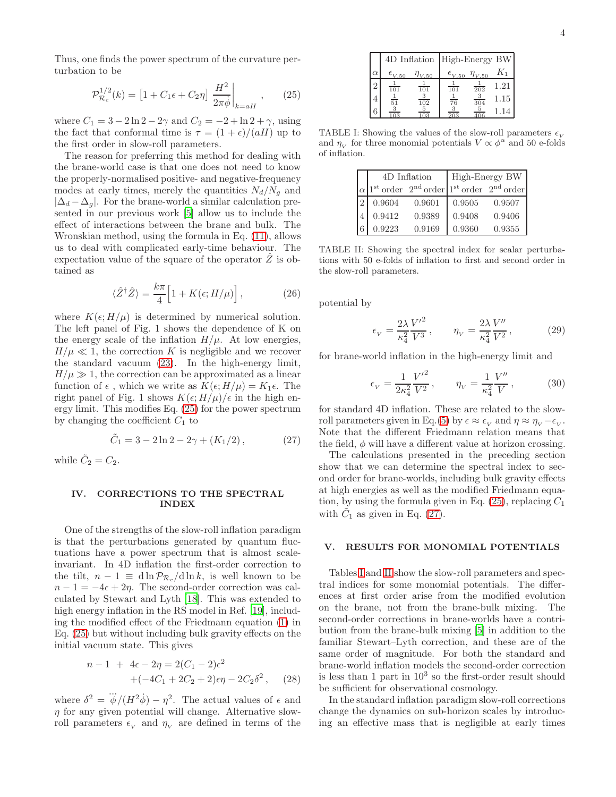4

Thus, one finds the power spectrum of the curvature perturbation to be

<span id="page-3-0"></span>
$$
\mathcal{P}_{\mathcal{R}_c}^{1/2}(k) = \left[1 + C_1 \epsilon + C_2 \eta\right] \frac{H^2}{2\pi \dot{\phi}} \bigg|_{k=aH}, \qquad (25)
$$

where  $C_1 = 3 - 2 \ln 2 - 2\gamma$  and  $C_2 = -2 + \ln 2 + \gamma$ , using the fact that conformal time is  $\tau = (1 + \epsilon)/(aH)$  up to the first order in slow-roll parameters.

The reason for preferring this method for dealing with the brane-world case is that one does not need to know the properly-normalised positive- and negative-frequency modes at early times, merely the quantities  $N_d/N_g$  and  $|\Delta_d - \Delta_q|$ . For the brane-world a similar calculation presented in our previous work [\[5](#page-4-4)] allow us to include the effect of interactions between the brane and bulk. The Wronskian method, using the formula in Eq. [\(11\)](#page-1-2), allows us to deal with complicated early-time behaviour. The expectation value of the square of the operator  $\ddot{Z}$  is obtained as

$$
\langle \hat{Z}^{\dagger} \hat{Z} \rangle = \frac{k\pi}{4} \Big[ 1 + K(\epsilon; H/\mu) \Big], \tag{26}
$$

where  $K(\epsilon; H/\mu)$  is determined by numerical solution. The left panel of Fig. 1 shows the dependence of K on the energy scale of the inflation  $H/\mu$ . At low energies,  $H/\mu \ll 1$ , the correction K is negligible and we recover the standard vacuum [\(23\)](#page-2-4). In the high-energy limit,  $H/\mu \gg 1$ , the correction can be approximated as a linear function of  $\epsilon$ , which we write as  $K(\epsilon; H/\mu) = K_1 \epsilon$ . The right panel of Fig. 1 shows  $K(\epsilon; H/\mu)/\epsilon$  in the high energy limit. This modifies Eq. [\(25\)](#page-3-0) for the power spectrum by changing the coefficient  $C_1$  to

<span id="page-3-1"></span>
$$
\tilde{C}_1 = 3 - 2\ln 2 - 2\gamma + (K_1/2), \qquad (27)
$$

while  $\tilde{C}_2 = C_2$ .

## IV. CORRECTIONS TO THE SPECTRAL INDEX

One of the strengths of the slow-roll inflation paradigm is that the perturbations generated by quantum fluctuations have a power spectrum that is almost scaleinvariant. In 4D inflation the first-order correction to the tilt,  $n - 1 \equiv \mathrm{d} \ln \mathcal{P}_{\mathcal{R}_c} / \mathrm{d} \ln k$ , is well known to be  $n-1 = -4\epsilon + 2\eta$ . The second-order correction was calculated by Stewart and Lyth [\[18\]](#page-5-6). This was extended to high energy inflation in the RS model in Ref. [\[19\]](#page-5-7), including the modified effect of the Friedmann equation [\(1\)](#page-0-1) in Eq. [\(25\)](#page-3-0) but without including bulk gravity effects on the initial vacuum state. This gives

$$
n-1 + 4\epsilon - 2\eta = 2(C_1 - 2)\epsilon^2 + (-4C_1 + 2C_2 + 2)\epsilon \eta - 2C_2 \delta^2, \quad (28)
$$

where  $\delta^2 = \ddot{\phi}/(H^2 \dot{\phi}) - \eta^2$ . The actual values of  $\epsilon$  and  $\eta$  for any given potential will change. Alternative slowroll parameters  $\epsilon_{V}$  and  $\eta_{V}$  are defined in terms of the

|          |                   |                           | 4D Inflation High-Energy BW |                                 |       |
|----------|-------------------|---------------------------|-----------------------------|---------------------------------|-------|
| $\alpha$ | $\epsilon_{V,50}$ | $\eta_{\underline{V},50}$ |                             | $\epsilon_{V,50}$ $\eta_{V,50}$ | $K_1$ |
|          | 101               | 101                       | $\frac{1}{101}$             | $\overline{202}$                | 1.21  |
|          | $\frac{1}{51}$    | $\frac{5}{102}$           | $rac{1}{76}$                | 304                             | 1.15  |
|          |                   | U3                        | 203                         | 406                             |       |

TABLE I: Showing the values of the slow-roll parameters  $\epsilon_{V}$ and  $\eta_V$  for three monomial potentials  $V \propto \phi^{\alpha}$  and 50 e-folds of inflation.

<span id="page-3-2"></span>

| 4D Inflation |                                           | High-Energy BW |        |  |
|--------------|-------------------------------------------|----------------|--------|--|
|              | $1st order 2nd order 1st order 2nd order$ |                |        |  |
| 0.9604       | 0.9601                                    | 0.9505         | 0.9507 |  |
| 0.9412       | 0.9389                                    | 0.9408         | 0.9406 |  |
| 0.9223       | 0.9169                                    | 0.9360         | 0.9355 |  |

<span id="page-3-3"></span>TABLE II: Showing the spectral index for scalar perturbations with 50 e-folds of inflation to first and second order in the slow-roll parameters.

potential by

$$
\epsilon_V = \frac{2\lambda}{\kappa_4^2} \frac{V^{\prime 2}}{V^3}, \qquad \eta_V = \frac{2\lambda}{\kappa_4^2} \frac{V^{\prime\prime}}{V^2}, \tag{29}
$$

for brane-world inflation in the high-energy limit and

$$
\epsilon_V = \frac{1}{2\kappa_4^2} \frac{V'^2}{V^2} \,, \qquad \eta_V = \frac{1}{\kappa_4^2} \frac{V''}{V} \,, \tag{30}
$$

for standard 4D inflation. These are related to the slow-roll parameters given in Eq.[\(5\)](#page-1-3) by  $\epsilon \approx \epsilon_{V}$  and  $\eta \approx \eta_{V} - \epsilon_{V}$ . Note that the different Friedmann relation means that the field,  $\phi$  will have a different value at horizon crossing.

The calculations presented in the preceding section show that we can determine the spectral index to second order for brane-worlds, including bulk gravity effects at high energies as well as the modified Friedmann equation, by using the formula given in Eq.  $(25)$ , replacing  $C_1$ with  $\tilde{C}_1$  as given in Eq. [\(27\)](#page-3-1).

## V. RESULTS FOR MONOMIAL POTENTIALS

Tables [I](#page-3-2) and [II](#page-3-3) show the slow-roll parameters and spectral indices for some monomial potentials. The differences at first order arise from the modified evolution on the brane, not from the brane-bulk mixing. The second-order corrections in brane-worlds have a contribution from the brane-bulk mixing [\[5\]](#page-4-4) in addition to the familiar Stewart–Lyth correction, and these are of the same order of magnitude. For both the standard and brane-world inflation models the second-order correction is less than 1 part in  $10^3$  so the first-order result should be sufficient for observational cosmology.

In the standard inflation paradigm slow-roll corrections change the dynamics on sub-horizon scales by introducing an effective mass that is negligible at early times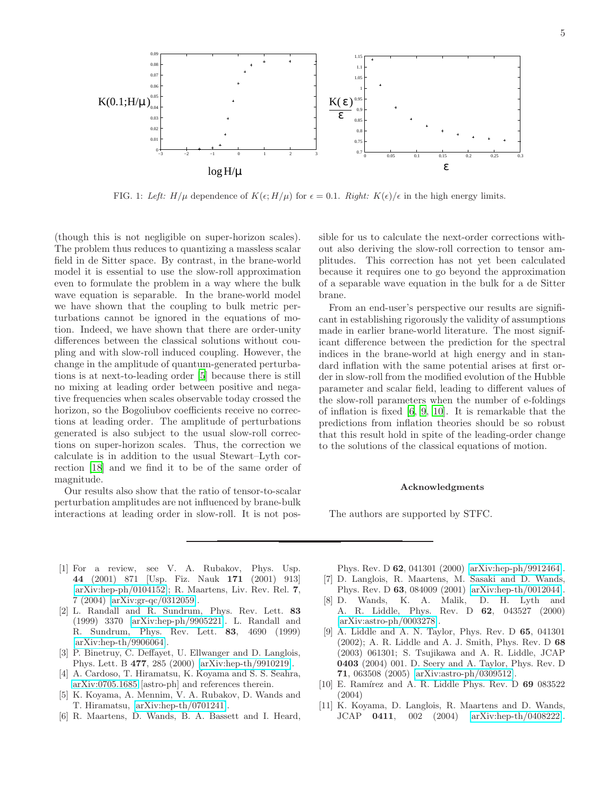

FIG. 1: Left:  $H/\mu$  dependence of  $K(\epsilon; H/\mu)$  for  $\epsilon = 0.1$ . Right:  $K(\epsilon)/\epsilon$  in the high energy limits.

(though this is not negligible on super-horizon scales). The problem thus reduces to quantizing a massless scalar field in de Sitter space. By contrast, in the brane-world model it is essential to use the slow-roll approximation even to formulate the problem in a way where the bulk wave equation is separable. In the brane-world model we have shown that the coupling to bulk metric perturbations cannot be ignored in the equations of motion. Indeed, we have shown that there are order-unity differences between the classical solutions without coupling and with slow-roll induced coupling. However, the change in the amplitude of quantum-generated perturbations is at next-to-leading order [\[5](#page-4-4)] because there is still no mixing at leading order between positive and negative frequencies when scales observable today crossed the horizon, so the Bogoliubov coefficients receive no corrections at leading order. The amplitude of perturbations generated is also subject to the usual slow-roll corrections on super-horizon scales. Thus, the correction we calculate is in addition to the usual Stewart–Lyth correction [\[18](#page-5-6)] and we find it to be of the same order of magnitude.

Our results also show that the ratio of tensor-to-scalar perturbation amplitudes are not influenced by brane-bulk interactions at leading order in slow-roll. It is not possible for us to calculate the next-order corrections without also deriving the slow-roll correction to tensor amplitudes. This correction has not yet been calculated because it requires one to go beyond the approximation of a separable wave equation in the bulk for a de Sitter brane.

From an end-user's perspective our results are significant in establishing rigorously the validity of assumptions made in earlier brane-world literature. The most significant difference between the prediction for the spectral indices in the brane-world at high energy and in standard inflation with the same potential arises at first order in slow-roll from the modified evolution of the Hubble parameter and scalar field, leading to different values of the slow-roll parameters when the number of e-foldings of inflation is fixed [\[6,](#page-4-5) [9,](#page-4-8) [10\]](#page-4-9). It is remarkable that the predictions from inflation theories should be so robust that this result hold in spite of the leading-order change to the solutions of the classical equations of motion.

# Acknowledgments

The authors are supported by STFC.

- <span id="page-4-0"></span>[1] For a review, see V. A. Rubakov, Phys. Usp. 44 (2001) 871 [Usp. Fiz. Nauk 171 (2001) 913]  $[\text{arXiv:hep-ph}/0104152]$ ; R. Maartens, Liv. Rev. Rel. 7, 7 (2004) [\[arXiv:gr-qc/0312059\]](http://arXiv.org/abs/gr-qc/0312059).
- <span id="page-4-1"></span>[2] L. Randall and R. Sundrum, Phys. Rev. Lett. 83 (1999) 3370 [\[arXiv:hep-ph/9905221\]](http://arXiv.org/abs/hep-ph/9905221). L. Randall and R. Sundrum, Phys. Rev. Lett. 83, 4690 (1999) [\[arXiv:hep-th/9906064\]](http://arXiv.org/abs/hep-th/9906064).
- <span id="page-4-2"></span>[3] P. Binetruy, C. Deffayet, U. Ellwanger and D. Langlois, Phys. Lett. B 477, 285 (2000) [\[arXiv:hep-th/9910219\]](http://arXiv.org/abs/hep-th/9910219).
- <span id="page-4-3"></span>[4] A. Cardoso, T. Hiramatsu, K. Koyama and S. S. Seahra, [arXiv:0705.1685](http://arXiv.org/abs/0705.1685) [astro-ph] and references therein.
- <span id="page-4-4"></span>[5] K. Koyama, A. Mennim, V. A. Rubakov, D. Wands and T. Hiramatsu, [\[arXiv:hep-th/0701241\]](http://arXiv.org/abs/hep-th/0701241).
- <span id="page-4-5"></span>[6] R. Maartens, D. Wands, B. A. Bassett and I. Heard,

Phys. Rev. D 62, 041301 (2000) [\[arXiv:hep-ph/9912464\]](http://arXiv.org/abs/hep-ph/9912464). [7] D. Langlois, R. Maartens, M. Sasaki and D. Wands,

- <span id="page-4-7"></span><span id="page-4-6"></span>Phys. Rev. D 63, 084009 (2001) [\[arXiv:hep-th/0012044\]](http://arXiv.org/abs/hep-th/0012044). [8] D. Wands, K. A. Malik, D. H. Lyth and A. R. Liddle, Phys. Rev. D 62, 043527 (2000) [\[arXiv:astro-ph/0003278\]](http://arXiv.org/abs/astro-ph/0003278).
- <span id="page-4-8"></span>[9] A. Liddle and A. N. Taylor, Phys. Rev. D 65, 041301 (2002); A. R. Liddle and A. J. Smith, Phys. Rev. D 68 (2003) 061301; S. Tsujikawa and A. R. Liddle, JCAP 0403 (2004) 001. D. Seery and A. Taylor, Phys. Rev. D 71, 063508 (2005) [\[arXiv:astro-ph/0309512\]](http://arXiv.org/abs/astro-ph/0309512).
- <span id="page-4-9"></span>[10] E. Ramírez and A. R. Liddle Phys. Rev. D  $69$  083522 (2004)
- <span id="page-4-10"></span>[11] K. Koyama, D. Langlois, R. Maartens and D. Wands, JCAP 0411, 002 (2004) [\[arXiv:hep-th/0408222\]](http://arXiv.org/abs/hep-th/0408222).